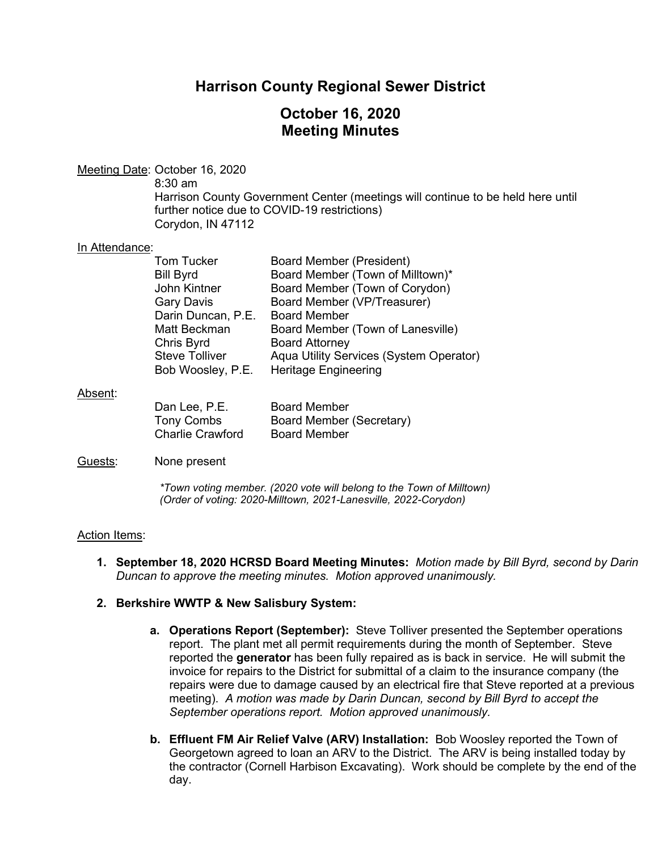## **Harrison County Regional Sewer District**

## **October 16, 2020 Meeting Minutes**

### Meeting Date: October 16, 2020

8:30 am Harrison County Government Center (meetings will continue to be held here until further notice due to COVID-19 restrictions) Corydon, IN 47112

#### In Attendance:

| <b>Tom Tucker</b>     | <b>Board Member (President)</b>         |
|-----------------------|-----------------------------------------|
| <b>Bill Byrd</b>      | Board Member (Town of Milltown)*        |
| John Kintner          | Board Member (Town of Corydon)          |
| <b>Gary Davis</b>     | Board Member (VP/Treasurer)             |
| Darin Duncan, P.E.    | <b>Board Member</b>                     |
| Matt Beckman          | Board Member (Town of Lanesville)       |
| Chris Byrd            | <b>Board Attorney</b>                   |
| <b>Steve Tolliver</b> | Aqua Utility Services (System Operator) |
| Bob Woosley, P.E.     | Heritage Engineering                    |

#### Absent:

| Dan Lee, P.E.           | <b>Board Member</b>      |
|-------------------------|--------------------------|
| Tony Combs              | Board Member (Secretary) |
| <b>Charlie Crawford</b> | <b>Board Member</b>      |

#### Guests: None present

*\*Town voting member. (2020 vote will belong to the Town of Milltown) (Order of voting: 2020-Milltown, 2021-Lanesville, 2022-Corydon)* 

#### Action Items:

**1. September 18, 2020 HCRSD Board Meeting Minutes:** *Motion made by Bill Byrd, second by Darin Duncan to approve the meeting minutes. Motion approved unanimously.*

#### **2. Berkshire WWTP & New Salisbury System:**

- **a. Operations Report (September):** Steve Tolliver presented the September operations report. The plant met all permit requirements during the month of September. Steve reported the **generator** has been fully repaired as is back in service. He will submit the invoice for repairs to the District for submittal of a claim to the insurance company (the repairs were due to damage caused by an electrical fire that Steve reported at a previous meeting). *A motion was made by Darin Duncan, second by Bill Byrd to accept the September operations report. Motion approved unanimously.*
- **b. Effluent FM Air Relief Valve (ARV) Installation:** Bob Woosley reported the Town of Georgetown agreed to loan an ARV to the District. The ARV is being installed today by the contractor (Cornell Harbison Excavating). Work should be complete by the end of the day.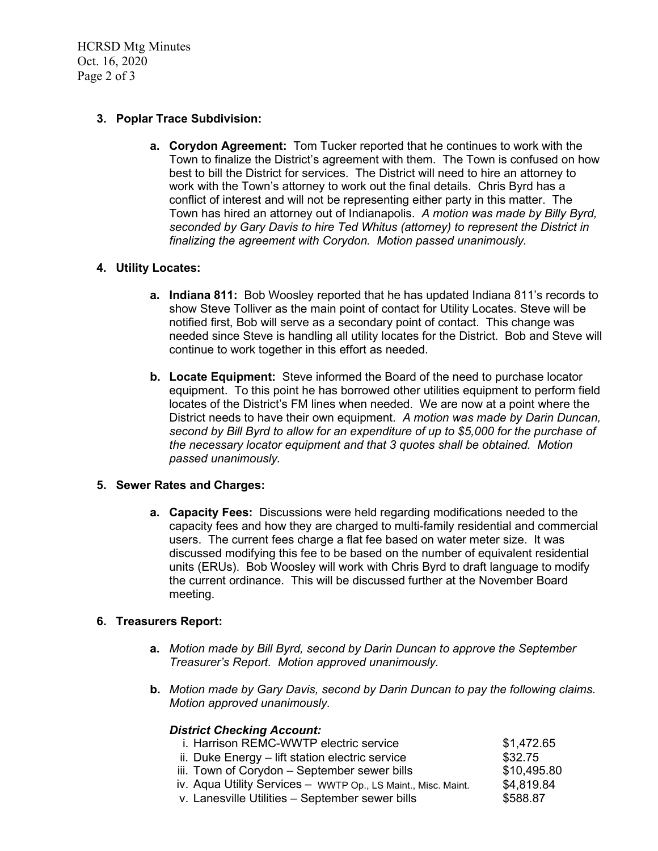HCRSD Mtg Minutes Oct. 16, 2020 Page 2 of 3

#### **3. Poplar Trace Subdivision:**

**a. Corydon Agreement:** Tom Tucker reported that he continues to work with the Town to finalize the District's agreement with them. The Town is confused on how best to bill the District for services. The District will need to hire an attorney to work with the Town's attorney to work out the final details. Chris Byrd has a conflict of interest and will not be representing either party in this matter. The Town has hired an attorney out of Indianapolis. *A motion was made by Billy Byrd, seconded by Gary Davis to hire Ted Whitus (attorney) to represent the District in finalizing the agreement with Corydon. Motion passed unanimously.*

### **4. Utility Locates:**

- **a. Indiana 811:** Bob Woosley reported that he has updated Indiana 811's records to show Steve Tolliver as the main point of contact for Utility Locates. Steve will be notified first, Bob will serve as a secondary point of contact. This change was needed since Steve is handling all utility locates for the District. Bob and Steve will continue to work together in this effort as needed.
- **b. Locate Equipment:** Steve informed the Board of the need to purchase locator equipment. To this point he has borrowed other utilities equipment to perform field locates of the District's FM lines when needed. We are now at a point where the District needs to have their own equipment. *A motion was made by Darin Duncan, second by Bill Byrd to allow for an expenditure of up to \$5,000 for the purchase of the necessary locator equipment and that 3 quotes shall be obtained. Motion passed unanimously.*

#### **5. Sewer Rates and Charges:**

**a. Capacity Fees:** Discussions were held regarding modifications needed to the capacity fees and how they are charged to multi-family residential and commercial users. The current fees charge a flat fee based on water meter size. It was discussed modifying this fee to be based on the number of equivalent residential units (ERUs). Bob Woosley will work with Chris Byrd to draft language to modify the current ordinance. This will be discussed further at the November Board meeting.

#### **6. Treasurers Report:**

- **a.** *Motion made by Bill Byrd, second by Darin Duncan to approve the September Treasurer's Report. Motion approved unanimously.*
- **b.** *Motion made by Gary Davis, second by Darin Duncan to pay the following claims. Motion approved unanimously.*

#### *District Checking Account:*

| i. Harrison REMC-WWTP electric service                        | \$1,472.65  |
|---------------------------------------------------------------|-------------|
| ii. Duke Energy - lift station electric service               | \$32.75     |
| iii. Town of Corydon - September sewer bills                  | \$10,495.80 |
| iv. Aqua Utility Services - WWTP Op., LS Maint., Misc. Maint. | \$4,819.84  |
| v. Lanesville Utilities - September sewer bills               | \$588.87    |
|                                                               |             |